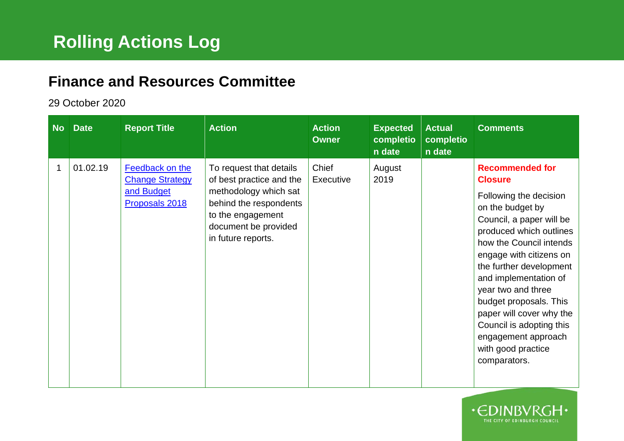## **Finance and Resources Committee**

## 29 October 2020

| <b>No</b> | <b>Date</b> | <b>Report Title</b>                                                       | <b>Action</b>                                                                                                                                                             | <b>Action</b><br><b>Owner</b> | <b>Expected</b><br>completio<br>n date | <b>Actual</b><br>completio<br>n date | <b>Comments</b>                                                                                                                                                                                                                                                                                                                                                                                                              |
|-----------|-------------|---------------------------------------------------------------------------|---------------------------------------------------------------------------------------------------------------------------------------------------------------------------|-------------------------------|----------------------------------------|--------------------------------------|------------------------------------------------------------------------------------------------------------------------------------------------------------------------------------------------------------------------------------------------------------------------------------------------------------------------------------------------------------------------------------------------------------------------------|
| 1         | 01.02.19    | Feedback on the<br><b>Change Strategy</b><br>and Budget<br>Proposals 2018 | To request that details<br>of best practice and the<br>methodology which sat<br>behind the respondents<br>to the engagement<br>document be provided<br>in future reports. | Chief<br>Executive            | August<br>2019                         |                                      | <b>Recommended for</b><br><b>Closure</b><br>Following the decision<br>on the budget by<br>Council, a paper will be<br>produced which outlines<br>how the Council intends<br>engage with citizens on<br>the further development<br>and implementation of<br>year two and three<br>budget proposals. This<br>paper will cover why the<br>Council is adopting this<br>engagement approach<br>with good practice<br>comparators. |

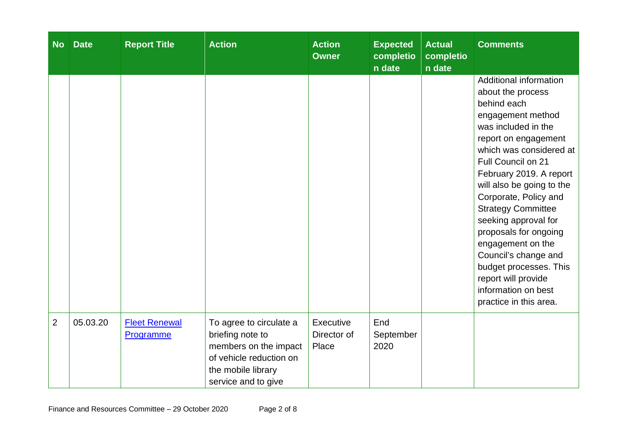| <b>No</b>      | <b>Date</b> | <b>Report Title</b>               | <b>Action</b>                                                                                                                                | <b>Action</b><br><b>Owner</b>     | <b>Expected</b><br>completio<br>n date | <b>Actual</b><br>completio<br>n date | <b>Comments</b>                                                                                                                                                                                                                                                                                                                                                                                                                                                                                      |
|----------------|-------------|-----------------------------------|----------------------------------------------------------------------------------------------------------------------------------------------|-----------------------------------|----------------------------------------|--------------------------------------|------------------------------------------------------------------------------------------------------------------------------------------------------------------------------------------------------------------------------------------------------------------------------------------------------------------------------------------------------------------------------------------------------------------------------------------------------------------------------------------------------|
|                |             |                                   |                                                                                                                                              |                                   |                                        |                                      | Additional information<br>about the process<br>behind each<br>engagement method<br>was included in the<br>report on engagement<br>which was considered at<br><b>Full Council on 21</b><br>February 2019. A report<br>will also be going to the<br>Corporate, Policy and<br><b>Strategy Committee</b><br>seeking approval for<br>proposals for ongoing<br>engagement on the<br>Council's change and<br>budget processes. This<br>report will provide<br>information on best<br>practice in this area. |
| $\overline{2}$ | 05.03.20    | <b>Fleet Renewal</b><br>Programme | To agree to circulate a<br>briefing note to<br>members on the impact<br>of vehicle reduction on<br>the mobile library<br>service and to give | Executive<br>Director of<br>Place | End<br>September<br>2020               |                                      |                                                                                                                                                                                                                                                                                                                                                                                                                                                                                                      |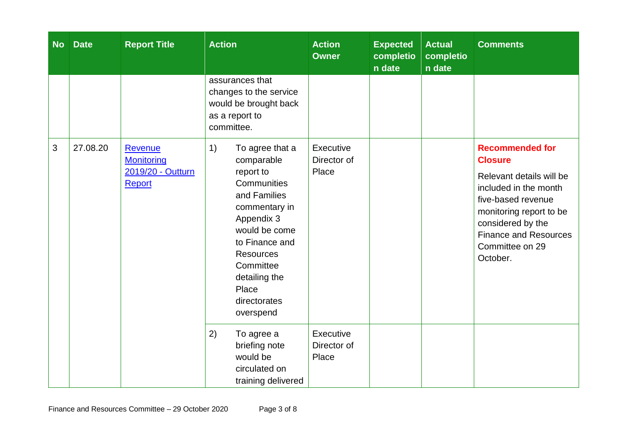| <b>No</b> | <b>Date</b> | <b>Report Title</b>                                                | <b>Action</b>                                                                                                                                                                                                                             | <b>Action</b><br><b>Owner</b>     | <b>Expected</b><br>completio<br>n date | <b>Actual</b><br>completio<br>n date | <b>Comments</b>                                                                                                                                                                                                                    |
|-----------|-------------|--------------------------------------------------------------------|-------------------------------------------------------------------------------------------------------------------------------------------------------------------------------------------------------------------------------------------|-----------------------------------|----------------------------------------|--------------------------------------|------------------------------------------------------------------------------------------------------------------------------------------------------------------------------------------------------------------------------------|
|           |             |                                                                    | assurances that<br>changes to the service<br>would be brought back<br>as a report to<br>committee.                                                                                                                                        |                                   |                                        |                                      |                                                                                                                                                                                                                                    |
| 3         | 27.08.20    | <b>Revenue</b><br><b>Monitoring</b><br>2019/20 - Outturn<br>Report | 1)<br>To agree that a<br>comparable<br>report to<br>Communities<br>and Families<br>commentary in<br>Appendix 3<br>would be come<br>to Finance and<br><b>Resources</b><br>Committee<br>detailing the<br>Place<br>directorates<br>overspend | Executive<br>Director of<br>Place |                                        |                                      | <b>Recommended for</b><br><b>Closure</b><br>Relevant details will be<br>included in the month<br>five-based revenue<br>monitoring report to be<br>considered by the<br><b>Finance and Resources</b><br>Committee on 29<br>October. |
|           |             |                                                                    | 2)<br>To agree a<br>briefing note<br>would be<br>circulated on<br>training delivered                                                                                                                                                      | Executive<br>Director of<br>Place |                                        |                                      |                                                                                                                                                                                                                                    |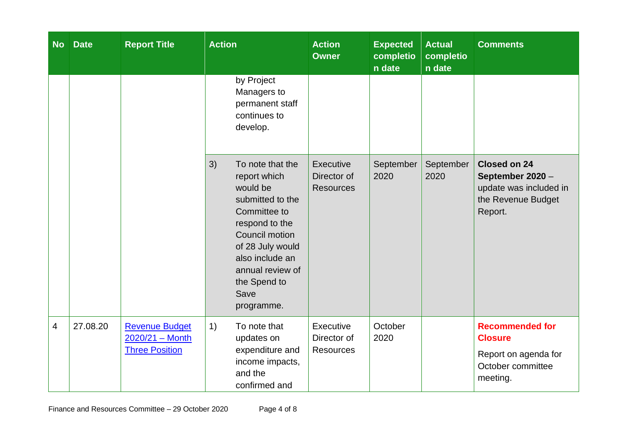| <b>No</b>                | <b>Date</b> | <b>Report Title</b>                                               | <b>Action</b>                                                                                                                                                                                                               | <b>Action</b><br><b>Owner</b>                | <b>Expected</b><br>completio<br>n date | <b>Actual</b><br>completio<br>n date | <b>Comments</b>                                                                                    |
|--------------------------|-------------|-------------------------------------------------------------------|-----------------------------------------------------------------------------------------------------------------------------------------------------------------------------------------------------------------------------|----------------------------------------------|----------------------------------------|--------------------------------------|----------------------------------------------------------------------------------------------------|
|                          |             |                                                                   | by Project<br>Managers to<br>permanent staff<br>continues to<br>develop.                                                                                                                                                    |                                              |                                        |                                      |                                                                                                    |
|                          |             |                                                                   | 3)<br>To note that the<br>report which<br>would be<br>submitted to the<br>Committee to<br>respond to the<br>Council motion<br>of 28 July would<br>also include an<br>annual review of<br>the Spend to<br>Save<br>programme. | Executive<br>Director of<br><b>Resources</b> | September<br>2020                      | September<br>2020                    | <b>Closed on 24</b><br>September 2020 -<br>update was included in<br>the Revenue Budget<br>Report. |
| $\overline{\mathcal{A}}$ | 27.08.20    | <b>Revenue Budget</b><br>2020/21 - Month<br><b>Three Position</b> | 1)<br>To note that<br>updates on<br>expenditure and<br>income impacts,<br>and the<br>confirmed and                                                                                                                          | Executive<br>Director of<br><b>Resources</b> | October<br>2020                        |                                      | <b>Recommended for</b><br><b>Closure</b><br>Report on agenda for<br>October committee<br>meeting.  |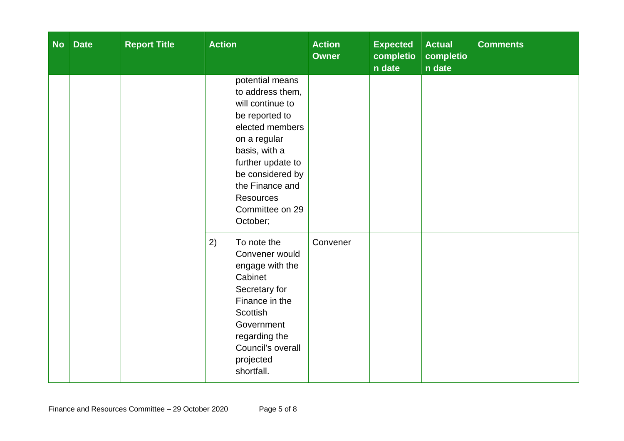| <b>No</b> | <b>Date</b> | <b>Report Title</b> | <b>Action</b>                                                                                                                                                                                                                                | <b>Action</b><br><b>Owner</b> | <b>Expected</b><br>completio<br>n date | <b>Actual</b><br>completio<br>n date | <b>Comments</b> |
|-----------|-------------|---------------------|----------------------------------------------------------------------------------------------------------------------------------------------------------------------------------------------------------------------------------------------|-------------------------------|----------------------------------------|--------------------------------------|-----------------|
|           |             |                     | potential means<br>to address them,<br>will continue to<br>be reported to<br>elected members<br>on a regular<br>basis, with a<br>further update to<br>be considered by<br>the Finance and<br><b>Resources</b><br>Committee on 29<br>October; |                               |                                        |                                      |                 |
|           |             |                     | 2)<br>To note the<br>Convener would<br>engage with the<br>Cabinet<br>Secretary for<br>Finance in the<br><b>Scottish</b><br>Government<br>regarding the<br>Council's overall<br>projected<br>shortfall.                                       | Convener                      |                                        |                                      |                 |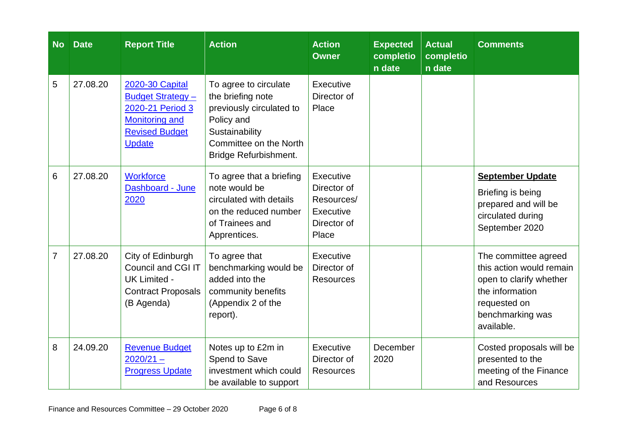| <b>No</b>      | <b>Date</b> | <b>Report Title</b>                                                                                                                | <b>Action</b>                                                                                                                                             | <b>Action</b><br><b>Owner</b>                                               | <b>Expected</b><br>completio<br>n date | <b>Actual</b><br>completio<br>n date | <b>Comments</b>                                                                                                                                  |
|----------------|-------------|------------------------------------------------------------------------------------------------------------------------------------|-----------------------------------------------------------------------------------------------------------------------------------------------------------|-----------------------------------------------------------------------------|----------------------------------------|--------------------------------------|--------------------------------------------------------------------------------------------------------------------------------------------------|
| 5              | 27.08.20    | 2020-30 Capital<br><b>Budget Strategy -</b><br>2020-21 Period 3<br><b>Monitoring and</b><br><b>Revised Budget</b><br><b>Update</b> | To agree to circulate<br>the briefing note<br>previously circulated to<br>Policy and<br>Sustainability<br>Committee on the North<br>Bridge Refurbishment. | Executive<br>Director of<br>Place                                           |                                        |                                      |                                                                                                                                                  |
| 6              | 27.08.20    | <b>Workforce</b><br>Dashboard - June<br>2020                                                                                       | To agree that a briefing<br>note would be<br>circulated with details<br>on the reduced number<br>of Trainees and<br>Apprentices.                          | Executive<br>Director of<br>Resources/<br>Executive<br>Director of<br>Place |                                        |                                      | <b>September Update</b><br>Briefing is being<br>prepared and will be<br>circulated during<br>September 2020                                      |
| $\overline{7}$ | 27.08.20    | City of Edinburgh<br><b>Council and CGI IT</b><br><b>UK Limited -</b><br><b>Contract Proposals</b><br>(B Agenda)                   | To agree that<br>benchmarking would be<br>added into the<br>community benefits<br>(Appendix 2 of the<br>report).                                          | Executive<br>Director of<br><b>Resources</b>                                |                                        |                                      | The committee agreed<br>this action would remain<br>open to clarify whether<br>the information<br>requested on<br>benchmarking was<br>available. |
| 8              | 24.09.20    | <b>Revenue Budget</b><br>$2020/21 -$<br><b>Progress Update</b>                                                                     | Notes up to £2m in<br>Spend to Save<br>investment which could<br>be available to support                                                                  | Executive<br>Director of<br><b>Resources</b>                                | December<br>2020                       |                                      | Costed proposals will be<br>presented to the<br>meeting of the Finance<br>and Resources                                                          |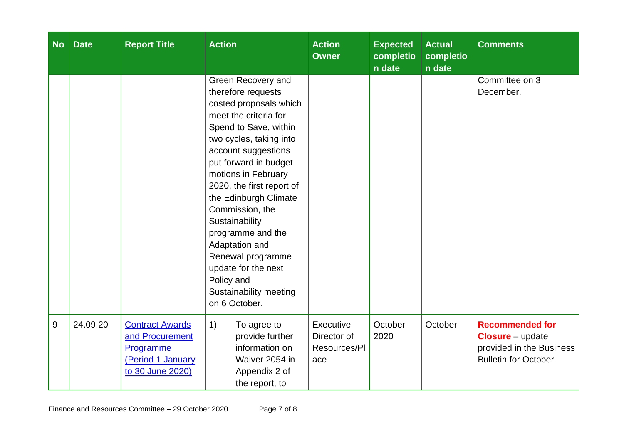| <b>No</b>        | <b>Date</b> | <b>Report Title</b>                                                                             | <b>Action</b>                                                                                                                                                                                                                                                                                                                                                                                                                                                 | <b>Action</b><br><b>Owner</b>                   | <b>Expected</b><br>completio<br>n date | <b>Actual</b><br>completio<br>n date | <b>Comments</b>                                                                                              |
|------------------|-------------|-------------------------------------------------------------------------------------------------|---------------------------------------------------------------------------------------------------------------------------------------------------------------------------------------------------------------------------------------------------------------------------------------------------------------------------------------------------------------------------------------------------------------------------------------------------------------|-------------------------------------------------|----------------------------------------|--------------------------------------|--------------------------------------------------------------------------------------------------------------|
|                  |             |                                                                                                 | Green Recovery and<br>therefore requests<br>costed proposals which<br>meet the criteria for<br>Spend to Save, within<br>two cycles, taking into<br>account suggestions<br>put forward in budget<br>motions in February<br>2020, the first report of<br>the Edinburgh Climate<br>Commission, the<br>Sustainability<br>programme and the<br>Adaptation and<br>Renewal programme<br>update for the next<br>Policy and<br>Sustainability meeting<br>on 6 October. |                                                 |                                        |                                      | Committee on 3<br>December.                                                                                  |
| $\boldsymbol{9}$ | 24.09.20    | <b>Contract Awards</b><br>and Procurement<br>Programme<br>(Period 1 January<br>to 30 June 2020) | 1)<br>To agree to<br>provide further<br>information on<br>Waiver 2054 in<br>Appendix 2 of<br>the report, to                                                                                                                                                                                                                                                                                                                                                   | Executive<br>Director of<br>Resources/PI<br>ace | October<br>2020                        | October                              | <b>Recommended for</b><br><b>Closure</b> – update<br>provided in the Business<br><b>Bulletin for October</b> |